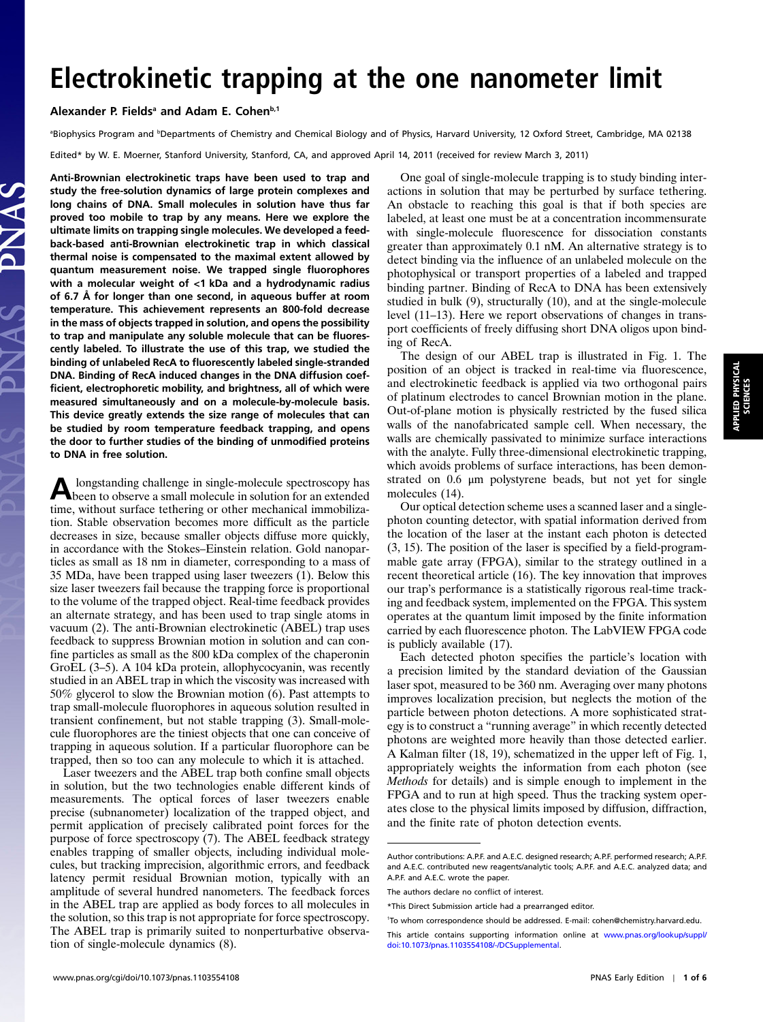## Alexander P. Fields<sup>a</sup> and Adam E. Cohen<sup>b,1</sup>

<sup>a</sup>Biophysics Program and <sup>b</sup>Departments of Chemistry and Chemical Biology and of Physics, Harvard University, 12 Oxford Street, Cambridge, MA 02138

Edited\* by W. E. Moerner, Stanford University, Stanford, CA, and approved April 14, 2011 (received for review March 3, 2011)

Anti-Brownian electrokinetic traps have been used to trap and study the free-solution dynamics of large protein complexes and long chains of DNA. Small molecules in solution have thus far proved too mobile to trap by any means. Here we explore the ultimate limits on trapping single molecules. We developed a feedback-based anti-Brownian electrokinetic trap in which classical thermal noise is compensated to the maximal extent allowed by quantum measurement noise. We trapped single fluorophores with a molecular weight of <1 kDa and a hydrodynamic radius of 6.7 Å for longer than one second, in aqueous buffer at room temperature. This achievement represents an 800-fold decrease in the mass of objects trapped in solution, and opens the possibility to trap and manipulate any soluble molecule that can be fluorescently labeled. To illustrate the use of this trap, we studied the binding of unlabeled RecA to fluorescently labeled single-stranded DNA. Binding of RecA induced changes in the DNA diffusion coefficient, electrophoretic mobility, and brightness, all of which were measured simultaneously and on a molecule-by-molecule basis. This device greatly extends the size range of molecules that can be studied by room temperature feedback trapping, and opens the door to further studies of the binding of unmodified proteins to DNA in free solution.

Alongstanding challenge in single-molecule spectroscopy has<br>been to observe a small molecule in solution for an extended time, without surface tethering or other mechanical immobilization. Stable observation becomes more difficult as the particle decreases in size, because smaller objects diffuse more quickly, in accordance with the Stokes–Einstein relation. Gold nanoparticles as small as 18 nm in diameter, corresponding to a mass of 35 MDa, have been trapped using laser tweezers (1). Below this size laser tweezers fail because the trapping force is proportional to the volume of the trapped object. Real-time feedback provides an alternate strategy, and has been used to trap single atoms in vacuum (2). The anti-Brownian electrokinetic (ABEL) trap uses feedback to suppress Brownian motion in solution and can confine particles as small as the 800 kDa complex of the chaperonin GroEL (3–5). A 104 kDa protein, allophycocyanin, was recently studied in an ABEL trap in which the viscosity was increased with 50% glycerol to slow the Brownian motion (6). Past attempts to trap small-molecule fluorophores in aqueous solution resulted in transient confinement, but not stable trapping (3). Small-molecule fluorophores are the tiniest objects that one can conceive of trapping in aqueous solution. If a particular fluorophore can be trapped, then so too can any molecule to which it is attached.

Laser tweezers and the ABEL trap both confine small objects in solution, but the two technologies enable different kinds of measurements. The optical forces of laser tweezers enable precise (subnanometer) localization of the trapped object, and permit application of precisely calibrated point forces for the purpose of force spectroscopy (7). The ABEL feedback strategy enables trapping of smaller objects, including individual molecules, but tracking imprecision, algorithmic errors, and feedback latency permit residual Brownian motion, typically with an amplitude of several hundred nanometers. The feedback forces in the ABEL trap are applied as body forces to all molecules in the solution, so this trap is not appropriate for force spectroscopy. The ABEL trap is primarily suited to nonperturbative observation of single-molecule dynamics (8).

One goal of single-molecule trapping is to study binding interactions in solution that may be perturbed by surface tethering. An obstacle to reaching this goal is that if both species are labeled, at least one must be at a concentration incommensurate with single-molecule fluorescence for dissociation constants greater than approximately 0.1 nM. An alternative strategy is to detect binding via the influence of an unlabeled molecule on the photophysical or transport properties of a labeled and trapped binding partner. Binding of RecA to DNA has been extensively studied in bulk (9), structurally (10), and at the single-molecule level (11–13). Here we report observations of changes in transport coefficients of freely diffusing short DNA oligos upon binding of RecA.

The design of our ABEL trap is illustrated in Fig. 1. The position of an object is tracked in real-time via fluorescence, and electrokinetic feedback is applied via two orthogonal pairs of platinum electrodes to cancel Brownian motion in the plane. Out-of-plane motion is physically restricted by the fused silica walls of the nanofabricated sample cell. When necessary, the walls are chemically passivated to minimize surface interactions with the analyte. Fully three-dimensional electrokinetic trapping, which avoids problems of surface interactions, has been demonstrated on 0.6 μm polystyrene beads, but not yet for single molecules (14).

Our optical detection scheme uses a scanned laser and a singlephoton counting detector, with spatial information derived from the location of the laser at the instant each photon is detected (3, 15). The position of the laser is specified by a field-programmable gate array (FPGA), similar to the strategy outlined in a recent theoretical article (16). The key innovation that improves our trap's performance is a statistically rigorous real-time tracking and feedback system, implemented on the FPGA. This system operates at the quantum limit imposed by the finite information carried by each fluorescence photon. The LabVIEW FPGA code is publicly available (17).

Each detected photon specifies the particle's location with a precision limited by the standard deviation of the Gaussian laser spot, measured to be 360 nm. Averaging over many photons improves localization precision, but neglects the motion of the particle between photon detections. A more sophisticated strategy is to construct a "running average" in which recently detected photons are weighted more heavily than those detected earlier. A Kalman filter (18, 19), schematized in the upper left of Fig. 1, appropriately weights the information from each photon (see Methods for details) and is simple enough to implement in the FPGA and to run at high speed. Thus the tracking system operates close to the physical limits imposed by diffusion, diffraction, and the finite rate of photon detection events.

Author contributions: A.P.F. and A.E.C. designed research; A.P.F. performed research; A.P.F. and A.E.C. contributed new reagents/analytic tools; A.P.F. and A.E.C. analyzed data; and A.P.F. and A.E.C. wrote the paper.

The authors declare no conflict of interest.

<sup>\*</sup>This Direct Submission article had a prearranged editor.

<sup>1</sup> To whom correspondence should be addressed. E-mail: cohen@chemistry.harvard.edu.

This article contains supporting information online at [www.pnas.org/lookup/suppl/](http://www.pnas.org/lookup/suppl/doi:10.1073/pnas.1103554108/-/DCSupplemental) [doi:10.1073/pnas.1103554108/-/DCSupplemental.](http://www.pnas.org/lookup/suppl/doi:10.1073/pnas.1103554108/-/DCSupplemental)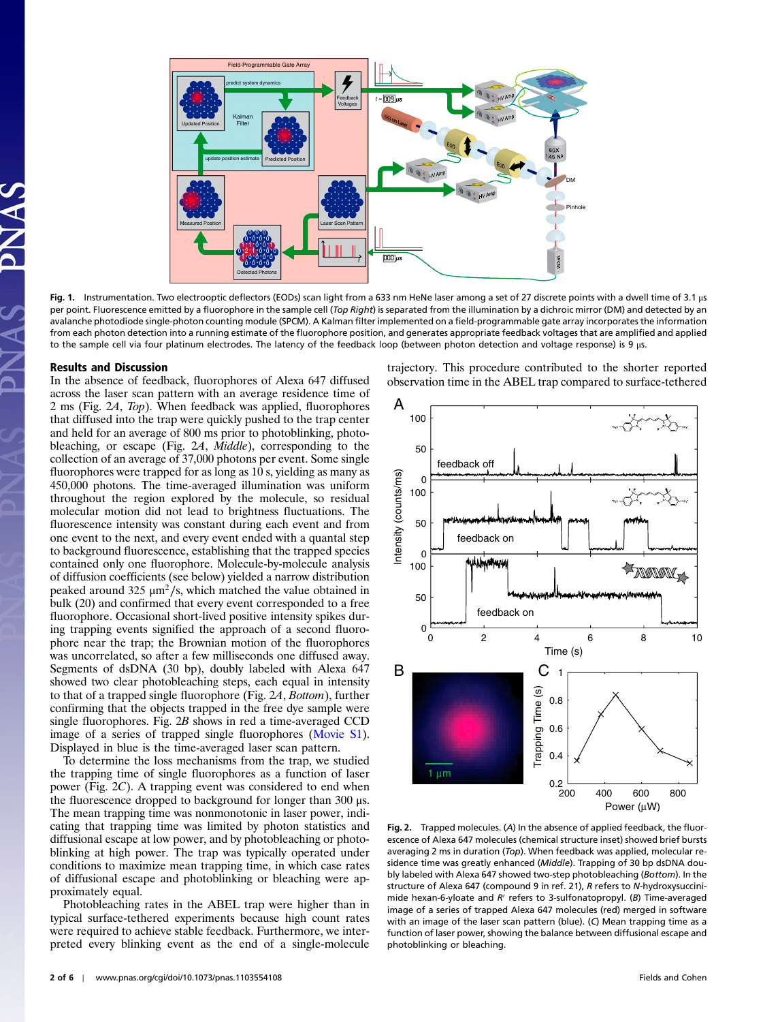

Fig. 1. Instrumentation. Two electrooptic deflectors (EODs) scan light from a 633 nm HeNe laser among a set of 27 discrete points with a dwell time of 3.1 μs per point. Fluorescence emitted by a fluorophore in the sample cell (Top Right) is separated from the illumination by a dichroic mirror (DM) and detected by an avalanche photodiode single-photon counting module (SPCM). A Kalman filter implemented on a field-programmable gate array incorporates the information from each photon detection into a running estimate of the fluorophore position, and generates appropriate feedback voltages that are amplified and applied to the sample cell via four platinum electrodes. The latency of the feedback loop (between photon detection and voltage response) is 9 μs.

## Results and Discussion

In the absence of feedback, fluorophores of Alexa 647 diffused across the laser scan pattern with an average residence time of 2 ms (Fig. 2A, Top). When feedback was applied, fluorophores that diffused into the trap were quickly pushed to the trap center and held for an average of 800 ms prior to photoblinking, photobleaching, or escape (Fig. 2A, Middle), corresponding to the collection of an average of 37,000 photons per event. Some single fluorophores were trapped for as long as 10 s, yielding as many as 450,000 photons. The time-averaged illumination was uniform throughout the region explored by the molecule, so residual molecular motion did not lead to brightness fluctuations. The fluorescence intensity was constant during each event and from one event to the next, and every event ended with a quantal step to background fluorescence, establishing that the trapped species contained only one fluorophore. Molecule-by-molecule analysis of diffusion coefficients (see below) yielded a narrow distribution peaked around 325  $μm²/s$ , which matched the value obtained in bulk (20) and confirmed that every event corresponded to a free fluorophore. Occasional short-lived positive intensity spikes during trapping events signified the approach of a second fluorophore near the trap; the Brownian motion of the fluorophores was uncorrelated, so after a few milliseconds one diffused away. Segments of dsDNA (30 bp), doubly labeled with Alexa 647 showed two clear photobleaching steps, each equal in intensity to that of a trapped single fluorophore (Fig. 2A, Bottom), further confirming that the objects trapped in the free dye sample were single fluorophores. Fig. 2B shows in red a time-averaged CCD image of a series of trapped single fluorophores [\(Movie S1\)](http://www.pnas.org/lookup/suppl/doi:10.1073/pnas.1103554108/-/DCSupplemental/pnas.1103554108_SI.pdf?targetid=SM1). Displayed in blue is the time-averaged laser scan pattern.

To determine the loss mechanisms from the trap, we studied the trapping time of single fluorophores as a function of laser power (Fig. 2C). A trapping event was considered to end when the fluorescence dropped to background for longer than 300 μs. The mean trapping time was nonmonotonic in laser power, indicating that trapping time was limited by photon statistics and diffusional escape at low power, and by photobleaching or photoblinking at high power. The trap was typically operated under conditions to maximize mean trapping time, in which case rates of diffusional escape and photoblinking or bleaching were approximately equal.

Photobleaching rates in the ABEL trap were higher than in typical surface-tethered experiments because high count rates were required to achieve stable feedback. Furthermore, we interpreted every blinking event as the end of a single-molecule trajectory. This procedure contributed to the shorter reported observation time in the ABEL trap compared to surface-tethered



Fig. 2. Trapped molecules. (A) In the absence of applied feedback, the fluorescence of Alexa 647 molecules (chemical structure inset) showed brief bursts averaging 2 ms in duration (Top). When feedback was applied, molecular residence time was greatly enhanced (Middle). Trapping of 30 bp dsDNA doubly labeled with Alexa 647 showed two-step photobleaching (Bottom). In the structure of Alexa 647 (compound 9 in ref. 21), R refers to N-hydroxysuccinimide hexan-6-yloate and  $R'$  refers to 3-sulfonatopropyl. (B) Time-averaged image of a series of trapped Alexa 647 molecules (red) merged in software with an image of the laser scan pattern (blue). (C) Mean trapping time as a function of laser power, showing the balance between diffusional escape and photoblinking or bleaching.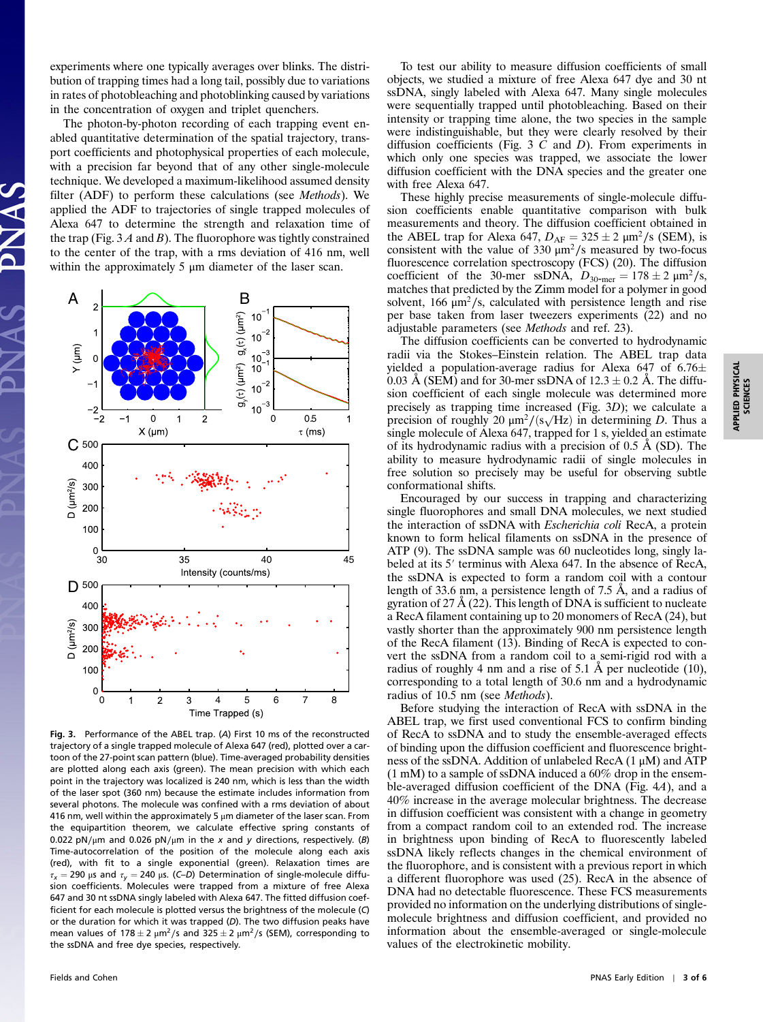experiments where one typically averages over blinks. The distribution of trapping times had a long tail, possibly due to variations in rates of photobleaching and photoblinking caused by variations in the concentration of oxygen and triplet quenchers.

The photon-by-photon recording of each trapping event enabled quantitative determination of the spatial trajectory, transport coefficients and photophysical properties of each molecule, with a precision far beyond that of any other single-molecule technique. We developed a maximum-likelihood assumed density filter (ADF) to perform these calculations (see Methods). We applied the ADF to trajectories of single trapped molecules of Alexa 647 to determine the strength and relaxation time of the trap (Fig.  $3A$  and B). The fluorophore was tightly constrained to the center of the trap, with a rms deviation of 416 nm, well within the approximately 5 μm diameter of the laser scan.



Fig. 3. Performance of the ABEL trap. (A) First 10 ms of the reconstructed trajectory of a single trapped molecule of Alexa 647 (red), plotted over a cartoon of the 27-point scan pattern (blue). Time-averaged probability densities are plotted along each axis (green). The mean precision with which each point in the trajectory was localized is 240 nm, which is less than the width of the laser spot (360 nm) because the estimate includes information from several photons. The molecule was confined with a rms deviation of about 416 nm, well within the approximately 5  $\mu$ m diameter of the laser scan. From the equipartition theorem, we calculate effective spring constants of 0.022 pN/ $\mu$ m and 0.026 pN/ $\mu$ m in the x and y directions, respectively. (B) Time-autocorrelation of the position of the molecule along each axis (red), with fit to a single exponential (green). Relaxation times are  $\tau_x = 290$  μs and  $\tau_y = 240$  μs. (C–D) Determination of single-molecule diffusion coefficients. Molecules were trapped from a mixture of free Alexa 647 and 30 nt ssDNA singly labeled with Alexa 647. The fitted diffusion coefficient for each molecule is plotted versus the brightness of the molecule (C) or the duration for which it was trapped (D). The two diffusion peaks have mean values of 178  $\pm$  2  $\mu$ m<sup>2</sup>/s and 325  $\pm$  2  $\mu$ m<sup>2</sup>/s (SEM), corresponding to the ssDNA and free dye species, respectively.

To test our ability to measure diffusion coefficients of small objects, we studied a mixture of free Alexa 647 dye and 30 nt ssDNA, singly labeled with Alexa 647. Many single molecules were sequentially trapped until photobleaching. Based on their intensity or trapping time alone, the two species in the sample were indistinguishable, but they were clearly resolved by their diffusion coefficients (Fig. 3  $C$  and  $D$ ). From experiments in which only one species was trapped, we associate the lower diffusion coefficient with the DNA species and the greater one with free Alexa 647.

These highly precise measurements of single-molecule diffusion coefficients enable quantitative comparison with bulk measurements and theory. The diffusion coefficient obtained in the ABEL trap for Alexa 647,  $D_{AF} = 325 \pm 2 \mu m^2/s$  (SEM), is consistent with the value of 330  $\mu m^2/s$  measured by two-focus fluorescence correlation spectroscopy (FCS) (20). The diffusion coefficient of the 30-mer ssDNA,  $D_{30\text{-mer}} = 178 \pm 2 \mu \text{m}^2/\text{s}$ , matches that predicted by the Zimm model for a polymer in good solvent, 166  $\mu$ m<sup>2</sup>/s, calculated with persistence length and rise per base taken from laser tweezers experiments (22) and no adjustable parameters (see Methods and ref. 23).

The diffusion coefficients can be converted to hydrodynamic radii via the Stokes–Einstein relation. The ABEL trap data yielded a population-average radius for Alexa 647 of 6.76 $\pm$ 0.03 Å (SEM) and for 30-mer ssDNA of  $12.3 \pm 0.2$  Å. The diffusion coefficient of each single molecule was determined more precisely as trapping time increased (Fig. 3D); we calculate a precision of roughly 20  $\mu$ m<sup>2</sup>/ $(s\sqrt{Hz})$  in determining D. Thus a single molecule of Alexa 647, trapped for 1 s, yielded an estimate of its hydrodynamic radius with a precision of 0.5 Å (SD). The ability to measure hydrodynamic radii of single molecules in free solution so precisely may be useful for observing subtle conformational shifts.

Encouraged by our success in trapping and characterizing single fluorophores and small DNA molecules, we next studied the interaction of ssDNA with Escherichia coli RecA, a protein known to form helical filaments on ssDNA in the presence of ATP (9). The ssDNA sample was 60 nucleotides long, singly la-beled at its 5′ terminus with Alexa 647. In the absence of RecA, the ssDNA is expected to form a random coil with a contour length of 33.6 nm, a persistence length of 7.5 Å, and a radius of gyration of 27 Å  $(22)$ . This length of DNA is sufficient to nucleate a RecA filament containing up to 20 monomers of RecA (24), but vastly shorter than the approximately 900 nm persistence length of the RecA filament (13). Binding of RecA is expected to convert the ssDNA from a random coil to a semi-rigid rod with a radius of roughly 4 nm and a rise of 5.1 Å per nucleotide (10), corresponding to a total length of 30.6 nm and a hydrodynamic radius of 10.5 nm (see Methods).

Before studying the interaction of RecA with ssDNA in the ABEL trap, we first used conventional FCS to confirm binding of RecA to ssDNA and to study the ensemble-averaged effects of binding upon the diffusion coefficient and fluorescence brightness of the ssDNA. Addition of unlabeled RecA (1 μM) and ATP (1 mM) to a sample of ssDNA induced a 60% drop in the ensemble-averaged diffusion coefficient of the DNA (Fig. 4A), and a 40% increase in the average molecular brightness. The decrease in diffusion coefficient was consistent with a change in geometry from a compact random coil to an extended rod. The increase in brightness upon binding of RecA to fluorescently labeled ssDNA likely reflects changes in the chemical environment of the fluorophore, and is consistent with a previous report in which a different fluorophore was used (25). RecA in the absence of DNA had no detectable fluorescence. These FCS measurements provided no information on the underlying distributions of singlemolecule brightness and diffusion coefficient, and provided no information about the ensemble-averaged or single-molecule values of the electrokinetic mobility.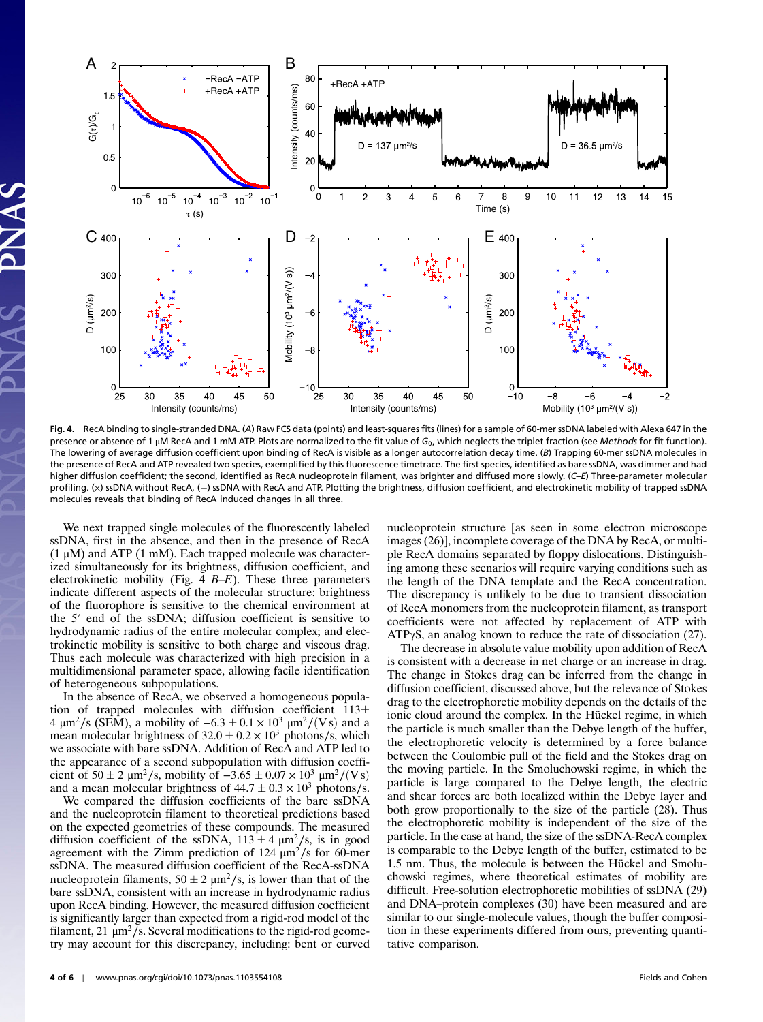

Fig. 4. RecA binding to single-stranded DNA. (A) Raw FCS data (points) and least-squares fits (lines) for a sample of 60-mer ssDNA labeled with Alexa 647 in the presence or absence of 1  $\mu$ M RecA and 1 mM ATP. Plots are normalized to the fit value of G<sub>0</sub>, which neglects the triplet fraction (see Methods for fit function). The lowering of average diffusion coefficient upon binding of RecA is visible as a longer autocorrelation decay time. (B) Trapping 60-mer ssDNA molecules in the presence of RecA and ATP revealed two species, exemplified by this fluorescence timetrace. The first species, identified as bare ssDNA, was dimmer and had higher diffusion coefficient; the second, identified as RecA nucleoprotein filament, was brighter and diffused more slowly. (C–E) Three-parameter molecular profiling. (x) ssDNA without RecA, (+) ssDNA with RecA and ATP. Plotting the brightness, diffusion coefficient, and electrokinetic mobility of trapped ssDNA molecules reveals that binding of RecA induced changes in all three.

We next trapped single molecules of the fluorescently labeled ssDNA, first in the absence, and then in the presence of RecA  $(1 \mu M)$  and ATP  $(1 \mu M)$ . Each trapped molecule was characterized simultaneously for its brightness, diffusion coefficient, and electrokinetic mobility (Fig.  $4$  B-E). These three parameters indicate different aspects of the molecular structure: brightness ndicate unterent aspects of the inolectual structure, originitess<br>of the fluorophore is sensitive to the chemical environment at<br>the 5' end of the ssDNA; diffusion coefficient is sensitive to hydrodynamic radius of the entire molecular complex; and electrokinetic mobility is sensitive to both charge and viscous drag. Thus each molecule was characterized with high precision in a multidimensional parameter space, allowing facile identification of heterogeneous subpopulations.

In the absence of RecA, we observed a homogeneous population of trapped molecules with diffusion coefficient  $113\pm$ 4 μm<sup>2</sup>/s (SEM), a mobility of  $-6.3 \pm 0.1 \times 10^3$  μm<sup>2</sup>/(Vs) and a mean molecular brightness of  $32.0 \pm 0.2 \times 10^3$  photons/s, which we associate with bare ssDNA. Addition of RecA and ATP led to the appearance of a second subpopulation with diffusion coefficient of  $50 \pm 2 \mu m^2/s$ , mobility of  $-3.65 \pm 0.07 \times 10^3 \mu m^2/(Vs)$ and a mean molecular brightness of  $44.7 \pm 0.3 \times 10^3$  photons/s.

We compared the diffusion coefficients of the bare ssDNA and the nucleoprotein filament to theoretical predictions based on the expected geometries of these compounds. The measured diffusion coefficient of the ssDNA,  $113 \pm 4 \ \mu \text{m}^2/\text{s}$ , is in good agreement with the Zimm prediction of 124  $\mu$ m<sup>2</sup>/s for 60-mer ssDNA. The measured diffusion coefficient of the RecA-ssDNA nucleoprotein filaments,  $50 \pm 2 \mu m^2/s$ , is lower than that of the bare ssDNA, consistent with an increase in hydrodynamic radius upon RecA binding. However, the measured diffusion coefficient is significantly larger than expected from a rigid-rod model of the filament, 21  $\mu$ m<sup>2</sup>/s. Several modifications to the rigid-rod geometry may account for this discrepancy, including: bent or curved nucleoprotein structure [as seen in some electron microscope images (26)], incomplete coverage of the DNA by RecA, or multiple RecA domains separated by floppy dislocations. Distinguishing among these scenarios will require varying conditions such as the length of the DNA template and the RecA concentration. The discrepancy is unlikely to be due to transient dissociation of RecA monomers from the nucleoprotein filament, as transport coefficients were not affected by replacement of ATP with ATPγS, an analog known to reduce the rate of dissociation (27).

The decrease in absolute value mobility upon addition of RecA is consistent with a decrease in net charge or an increase in drag. The change in Stokes drag can be inferred from the change in diffusion coefficient, discussed above, but the relevance of Stokes drag to the electrophoretic mobility depends on the details of the ionic cloud around the complex. In the Hückel regime, in which the particle is much smaller than the Debye length of the buffer, the electrophoretic velocity is determined by a force balance between the Coulombic pull of the field and the Stokes drag on the moving particle. In the Smoluchowski regime, in which the particle is large compared to the Debye length, the electric and shear forces are both localized within the Debye layer and both grow proportionally to the size of the particle (28). Thus the electrophoretic mobility is independent of the size of the particle. In the case at hand, the size of the ssDNA-RecA complex is comparable to the Debye length of the buffer, estimated to be 1.5 nm. Thus, the molecule is between the Hückel and Smoluchowski regimes, where theoretical estimates of mobility are difficult. Free-solution electrophoretic mobilities of ssDNA (29) and DNA–protein complexes (30) have been measured and are similar to our single-molecule values, though the buffer composition in these experiments differed from ours, preventing quantitative comparison.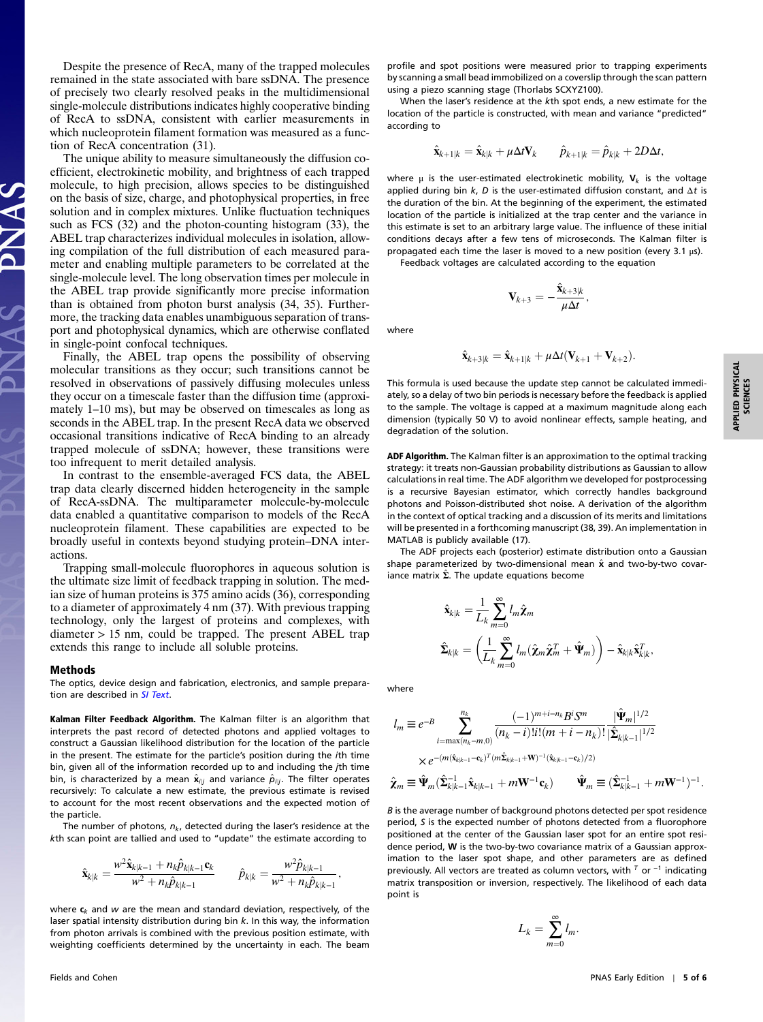Despite the presence of RecA, many of the trapped molecules remained in the state associated with bare ssDNA. The presence of precisely two clearly resolved peaks in the multidimensional single-molecule distributions indicates highly cooperative binding of RecA to ssDNA, consistent with earlier measurements in which nucleoprotein filament formation was measured as a function of RecA concentration (31).

The unique ability to measure simultaneously the diffusion coefficient, electrokinetic mobility, and brightness of each trapped molecule, to high precision, allows species to be distinguished on the basis of size, charge, and photophysical properties, in free solution and in complex mixtures. Unlike fluctuation techniques such as FCS (32) and the photon-counting histogram (33), the ABEL trap characterizes individual molecules in isolation, allowing compilation of the full distribution of each measured parameter and enabling multiple parameters to be correlated at the single-molecule level. The long observation times per molecule in the ABEL trap provide significantly more precise information than is obtained from photon burst analysis (34, 35). Furthermore, the tracking data enables unambiguous separation of transport and photophysical dynamics, which are otherwise conflated in single-point confocal techniques.

Finally, the ABEL trap opens the possibility of observing molecular transitions as they occur; such transitions cannot be resolved in observations of passively diffusing molecules unless they occur on a timescale faster than the diffusion time (approximately 1–10 ms), but may be observed on timescales as long as seconds in the ABEL trap. In the present RecA data we observed occasional transitions indicative of RecA binding to an already trapped molecule of ssDNA; however, these transitions were too infrequent to merit detailed analysis.

In contrast to the ensemble-averaged FCS data, the ABEL trap data clearly discerned hidden heterogeneity in the sample of RecA-ssDNA. The multiparameter molecule-by-molecule data enabled a quantitative comparison to models of the RecA nucleoprotein filament. These capabilities are expected to be broadly useful in contexts beyond studying protein–DNA interactions.

Trapping small-molecule fluorophores in aqueous solution is the ultimate size limit of feedback trapping in solution. The median size of human proteins is 375 amino acids (36), corresponding to a diameter of approximately 4 nm (37). With previous trapping technology, only the largest of proteins and complexes, with diameter > 15 nm, could be trapped. The present ABEL trap extends this range to include all soluble proteins.

## Methods

The optics, device design and fabrication, electronics, and sample prepara-tion are described in [SI Text](http://www.pnas.org/lookup/suppl/doi:10.1073/pnas.1103554108/-/DCSupplemental/pnas.1103554108_SI.pdf?targetid=STXT).

Kalman Filter Feedback Algorithm. The Kalman filter is an algorithm that interprets the past record of detected photons and applied voltages to construct a Gaussian likelihood distribution for the location of the particle in the present. The estimate for the particle's position during the ith time bin, given all of the information recorded up to and including the jth time bin, is characterized by a mean  $\hat{\mathbf{x}}_{ij}$  and variance  $\hat{p}_{ij}$ . The filter operates recursively: To calculate a new estimate, the previous estimate is revised to account for the most recent observations and the expected motion of the particle.

The number of photons,  $n_k$ , detected during the laser's residence at the kth scan point are tallied and used to "update" the estimate according to

$$
\hat{\mathbf{x}}_{k|k} = \frac{w^2 \hat{\mathbf{x}}_{k|k-1} + n_k \hat{p}_{k|k-1} \mathbf{c}_k}{w^2 + n_k \hat{p}_{k|k-1}} \qquad \hat{p}_{k|k} = \frac{w^2 \hat{p}_{k|k-1}}{w^2 + n_k \hat{p}_{k|k-1}},
$$

where  $c_k$  and w are the mean and standard deviation, respectively, of the laser spatial intensity distribution during bin k. In this way, the information from photon arrivals is combined with the previous position estimate, with weighting coefficients determined by the uncertainty in each. The beam

profile and spot positions were measured prior to trapping experiments by scanning a small bead immobilized on a coverslip through the scan pattern using a piezo scanning stage (Thorlabs SCXYZ100).

When the laser's residence at the kth spot ends, a new estimate for the location of the particle is constructed, with mean and variance "predicted" according to

$$
\hat{\mathbf{x}}_{k+1|k} = \hat{\mathbf{x}}_{k|k} + \mu \Delta t \mathbf{V}_k \qquad \hat{p}_{k+1|k} = \hat{p}_{k|k} + 2D\Delta t,
$$

where  $\mu$  is the user-estimated electrokinetic mobility,  $V_k$  is the voltage applied during bin  $k$ , D is the user-estimated diffusion constant, and  $\Delta t$  is the duration of the bin. At the beginning of the experiment, the estimated location of the particle is initialized at the trap center and the variance in this estimate is set to an arbitrary large value. The influence of these initial conditions decays after a few tens of microseconds. The Kalman filter is propagated each time the laser is moved to a new position (every 3.1 μs).

Feedback voltages are calculated according to the equation

$$
\mathbf{V}_{k+3} = -\frac{\hat{\mathbf{x}}_{k+3|k}}{\mu \Delta t},
$$

where

$$
\hat{\mathbf{x}}_{k+3|k} = \hat{\mathbf{x}}_{k+1|k} + \mu \Delta t (\mathbf{V}_{k+1} + \mathbf{V}_{k+2}).
$$

This formula is used because the update step cannot be calculated immediately, so a delay of two bin periods is necessary before the feedback is applied to the sample. The voltage is capped at a maximum magnitude along each dimension (typically 50 V) to avoid nonlinear effects, sample heating, and degradation of the solution.

ADF Algorithm. The Kalman filter is an approximation to the optimal tracking strategy: it treats non-Gaussian probability distributions as Gaussian to allow calculations in real time. The ADF algorithm we developed for postprocessing is a recursive Bayesian estimator, which correctly handles background photons and Poisson-distributed shot noise. A derivation of the algorithm in the context of optical tracking and a discussion of its merits and limitations will be presented in a forthcoming manuscript (38, 39). An implementation in MATLAB is publicly available (17).

The ADF projects each (posterior) estimate distribution onto a Gaussian shape parameterized by two-dimensional mean  $\hat{\mathbf{x}}$  and two-by-two covariance matrix  $\hat{\Sigma}$ . The update equations become

$$
\begin{aligned} \hat{\mathbf{x}}_{k|k} &= \frac{1}{L_k} \sum_{m=0}^{\infty} l_m \hat{\mathbf{\chi}}_m \\ \hat{\mathbf{\Sigma}}_{k|k} &= \left(\frac{1}{L_k} \sum_{m=0}^{\infty} l_m (\hat{\mathbf{x}}_m \hat{\mathbf{x}}_m^T + \hat{\mathbf{\Psi}}_m) \right) - \hat{\mathbf{x}}_{k|k} \hat{\mathbf{x}}_{k|k}^T, \end{aligned}
$$

where

$$
l_m \equiv e^{-B} \sum_{i=\max(n_k-m,0)}^{n_k} \frac{(-1)^{m+i-n_k} B^i S^m}{(n_k-i)! i! (m+i-n_k)!} \frac{|\hat{\Psi}_m|^{1/2}}{|\hat{\Sigma}_{k|k-1}|^{1/2}} \times e^{-(m(\hat{\mathbf{x}}_{k|k-1}-\mathbf{c}_k)^T (m\hat{\Sigma}_{k|k-1}+\mathbf{W})^{-1}(\hat{\mathbf{x}}_{k|k-1}-\mathbf{c}_k)/2)} \hat{\mathbf{x}}_m \equiv \hat{\Psi}_m(\hat{\Sigma}_{k|k-1}^{-1} \hat{\mathbf{x}}_{k|k-1} + m \mathbf{W}^{-1} \mathbf{c}_k) \qquad \hat{\Psi}_m \equiv (\hat{\Sigma}_{k|k-1}^{-1} + m \mathbf{W}^{-1})^{-1}.
$$

B is the average number of background photons detected per spot residence period, S is the expected number of photons detected from a fluorophore positioned at the center of the Gaussian laser spot for an entire spot residence period, W is the two-by-two covariance matrix of a Gaussian approximation to the laser spot shape, and other parameters are as defined previously. All vectors are treated as column vectors, with  $^{\mathsf{T}}$  or  $^{-1}$  indicating matrix transposition or inversion, respectively. The likelihood of each data point is

$$
L_k = \sum_{m=0}^{\infty} l_m.
$$

APPLIED PHYSICAL<br>SCIENCES APPLIED PHYSICAL SCIENCES